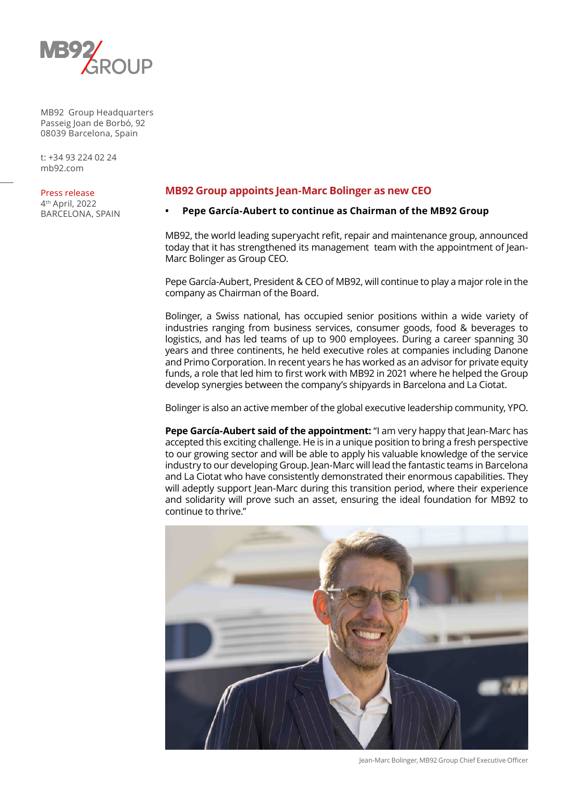

t: +34 93 224 02 24 mb92.com

#### Press release

4th April, 2022 BARCELONA, SPAIN

# **MB92 Group appoints Jean-Marc Bolinger as new CEO**

### **• Pepe García-Aubert to continue as Chairman of the MB92 Group**

MB92, the world leading superyacht refit, repair and maintenance group, announced today that it has strengthened its management team with the appointment of Jean-Marc Bolinger as Group CEO.

Pepe García-Aubert, President & CEO of MB92, will continue to play a major role in the company as Chairman of the Board.

Bolinger, a Swiss national, has occupied senior positions within a wide variety of industries ranging from business services, consumer goods, food & beverages to logistics, and has led teams of up to 900 employees. During a career spanning 30 years and three continents, he held executive roles at companies including Danone and Primo Corporation. In recent years he has worked as an advisor for private equity funds, a role that led him to first work with MB92 in 2021 where he helped the Group develop synergies between the company's shipyards in Barcelona and La Ciotat.

Bolinger is also an active member of the global executive leadership community, YPO.

**Pepe García-Aubert said of the appointment:** "I am very happy that Jean-Marc has accepted this exciting challenge. He is in a unique position to bring a fresh perspective to our growing sector and will be able to apply his valuable knowledge of the service industry to our developing Group. Jean-Marc will lead the fantastic teams in Barcelona and La Ciotat who have consistently demonstrated their enormous capabilities. They will adeptly support Jean-Marc during this transition period, where their experience and solidarity will prove such an asset, ensuring the ideal foundation for MB92 to continue to thrive."



Jean-Marc Bolinger, MB92 Group Chief Executive Officer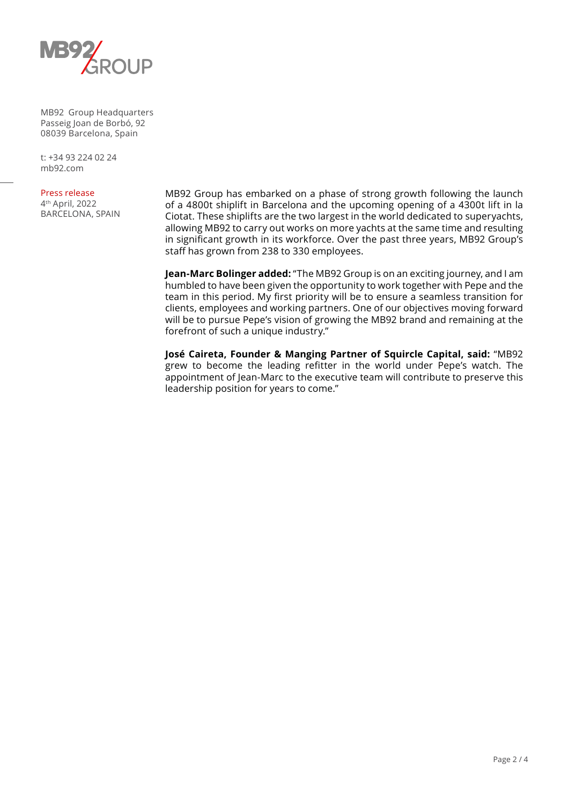

t: +34 93 224 02 24 mb92.com

### Press release

4th April, 2022 BARCELONA, SPAIN MB92 Group has embarked on a phase of strong growth following the launch of a 4800t shiplift in Barcelona and the upcoming opening of a 4300t lift in la Ciotat. These shiplifts are the two largest in the world dedicated to superyachts, allowing MB92 to carry out works on more yachts at the same time and resulting in significant growth in its workforce. Over the past three years, MB92 Group's staff has grown from 238 to 330 employees.

**Jean-Marc Bolinger added:** "The MB92 Group is on an exciting journey, and I am humbled to have been given the opportunity to work together with Pepe and the team in this period. My first priority will be to ensure a seamless transition for clients, employees and working partners. One of our objectives moving forward will be to pursue Pepe's vision of growing the MB92 brand and remaining at the forefront of such a unique industry."

**José Caireta, Founder & Manging Partner of Squircle Capital, said:** "MB92 grew to become the leading refitter in the world under Pepe's watch. The appointment of Jean-Marc to the executive team will contribute to preserve this leadership position for years to come."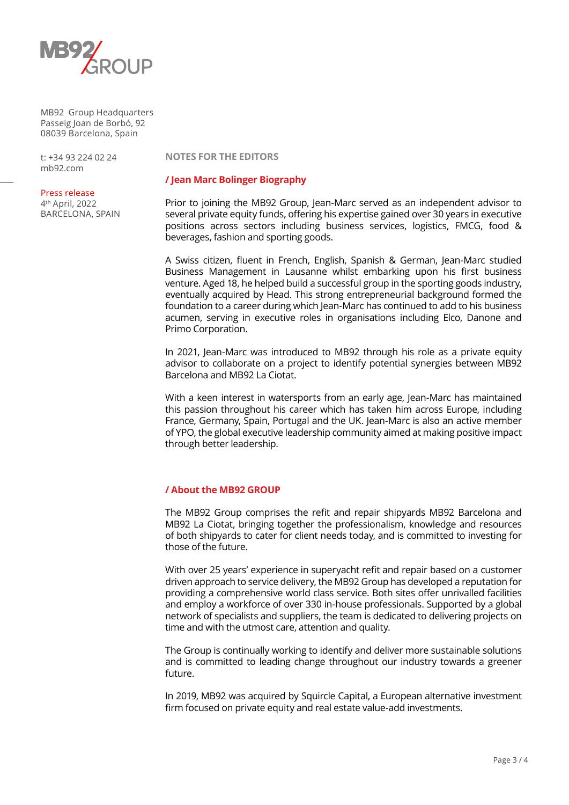

t: +34 93 224 02 24 mb92.com

### Press release

4th April, 2022 BARCELONA, SPAIN **NOTES FOR THE EDITORS**

# **/ Jean Marc Bolinger Biography**

Prior to joining the MB92 Group, Jean-Marc served as an independent advisor to several private equity funds, offering his expertise gained over 30 years in executive positions across sectors including business services, logistics, FMCG, food & beverages, fashion and sporting goods.

A Swiss citizen, fluent in French, English, Spanish & German, Jean-Marc studied Business Management in Lausanne whilst embarking upon his first business venture. Aged 18, he helped build a successful group in the sporting goods industry, eventually acquired by Head. This strong entrepreneurial background formed the foundation to a career during which Jean-Marc has continued to add to his business acumen, serving in executive roles in organisations including Elco, Danone and Primo Corporation.

In 2021, Jean-Marc was introduced to MB92 through his role as a private equity advisor to collaborate on a project to identify potential synergies between MB92 Barcelona and MB92 La Ciotat.

With a keen interest in watersports from an early age, Jean-Marc has maintained this passion throughout his career which has taken him across Europe, including France, Germany, Spain, Portugal and the UK. Jean-Marc is also an active member of YPO, the global executive leadership community aimed at making positive impact through better leadership.

# **/ About the MB92 GROUP**

The MB92 Group comprises the refit and repair shipyards MB92 Barcelona and MB92 La Ciotat, bringing together the professionalism, knowledge and resources of both shipyards to cater for client needs today, and is committed to investing for those of the future.

With over 25 years' experience in superyacht refit and repair based on a customer driven approach to service delivery, the MB92 Group has developed a reputation for providing a comprehensive world class service. Both sites offer unrivalled facilities and employ a workforce of over 330 in-house professionals. Supported by a global network of specialists and suppliers, the team is dedicated to delivering projects on time and with the utmost care, attention and quality.

The Group is continually working to identify and deliver more sustainable solutions and is committed to leading change throughout our industry towards a greener future.

In 2019, MB92 was acquired by Squircle Capital, a European alternative investment firm focused on private equity and real estate value-add investments.